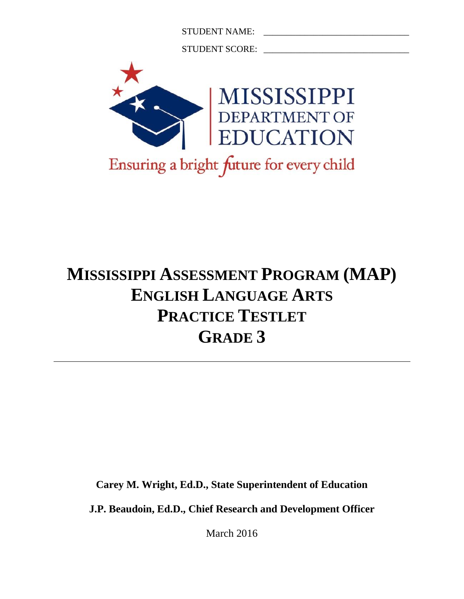STUDENT NAME: \_\_\_\_\_\_\_\_\_\_\_\_\_\_\_\_\_\_\_\_\_\_\_\_\_\_\_\_\_\_\_\_

STUDENT SCORE: \_\_\_\_\_\_\_\_\_\_\_\_\_\_\_\_\_\_\_\_\_\_\_\_\_\_\_\_\_\_\_\_



# **MISSISSIPPI ASSESSMENT PROGRAM (MAP) ENGLISH LANGUAGE ARTS PRACTICE TESTLET GRADE 3**

**Carey M. Wright, Ed.D., State Superintendent of Education**

**J.P. Beaudoin, Ed.D., Chief Research and Development Officer**

March 2016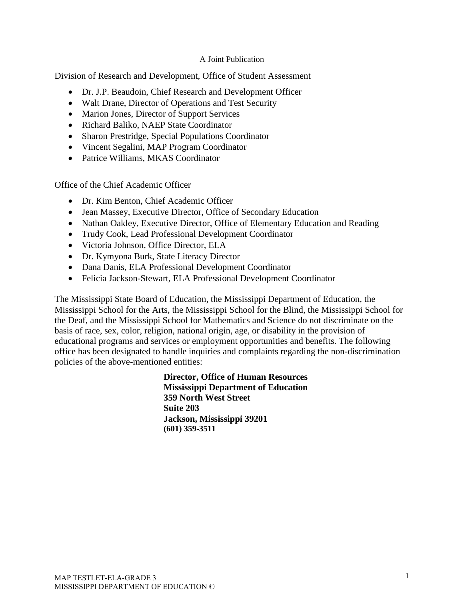#### A Joint Publication

Division of Research and Development, Office of Student Assessment

- Dr. J.P. Beaudoin, Chief Research and Development Officer
- Walt Drane, Director of Operations and Test Security
- Marion Jones, Director of Support Services
- Richard Baliko, NAEP State Coordinator
- Sharon Prestridge, Special Populations Coordinator
- Vincent Segalini, MAP Program Coordinator
- Patrice Williams, MKAS Coordinator

Office of the Chief Academic Officer

- Dr. Kim Benton, Chief Academic Officer
- Jean Massey, Executive Director, Office of Secondary Education
- Nathan Oakley, Executive Director, Office of Elementary Education and Reading
- Trudy Cook, Lead Professional Development Coordinator
- Victoria Johnson, Office Director, ELA
- Dr. Kymyona Burk, State Literacy Director
- Dana Danis, ELA Professional Development Coordinator
- Felicia Jackson-Stewart, ELA Professional Development Coordinator

The Mississippi State Board of Education, the Mississippi Department of Education, the Mississippi School for the Arts, the Mississippi School for the Blind, the Mississippi School for the Deaf, and the Mississippi School for Mathematics and Science do not discriminate on the basis of race, sex, color, religion, national origin, age, or disability in the provision of educational programs and services or employment opportunities and benefits. The following office has been designated to handle inquiries and complaints regarding the non-discrimination policies of the above-mentioned entities:

> **Director, Office of Human Resources Mississippi Department of Education 359 North West Street Suite 203 Jackson, Mississippi 39201 (601) 359-3511**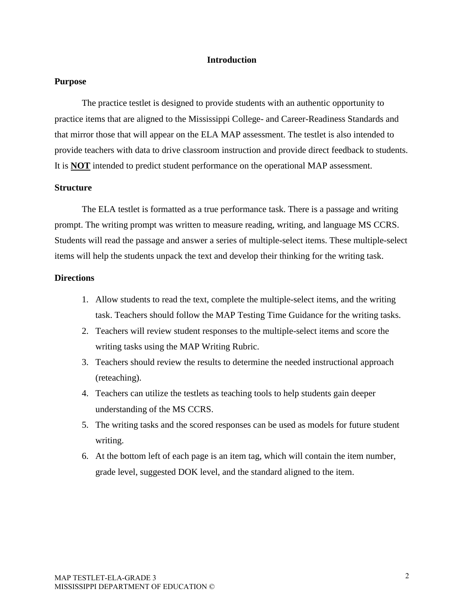#### **Introduction**

#### **Purpose**

The practice testlet is designed to provide students with an authentic opportunity to practice items that are aligned to the Mississippi College- and Career-Readiness Standards and that mirror those that will appear on the ELA MAP assessment. The testlet is also intended to provide teachers with data to drive classroom instruction and provide direct feedback to students. It is **NOT** intended to predict student performance on the operational MAP assessment.

#### **Structure**

 The ELA testlet is formatted as a true performance task. There is a passage and writing prompt. The writing prompt was written to measure reading, writing, and language MS CCRS. Students will read the passage and answer a series of multiple-select items. These multiple-select items will help the students unpack the text and develop their thinking for the writing task.

#### **Directions**

- 1. Allow students to read the text, complete the multiple-select items, and the writing task. Teachers should follow the MAP Testing Time Guidance for the writing tasks.
- 2. Teachers will review student responses to the multiple-select items and score the writing tasks using the MAP Writing Rubric.
- 3. Teachers should review the results to determine the needed instructional approach (reteaching).
- 4. Teachers can utilize the testlets as teaching tools to help students gain deeper understanding of the MS CCRS.
- 5. The writing tasks and the scored responses can be used as models for future student writing.
- 6. At the bottom left of each page is an item tag, which will contain the item number, grade level, suggested DOK level, and the standard aligned to the item.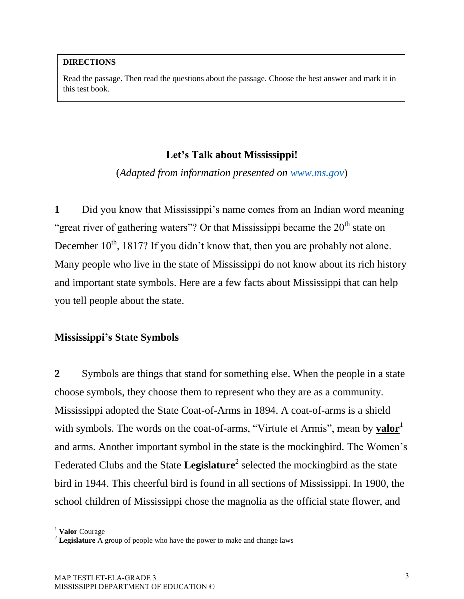#### **DIRECTIONS**

Read the passage. Then read the questions about the passage. Choose the best answer and mark it in this test book.

## **Let's Talk about Mississippi!**

(*Adapted from information presented on [www.ms.gov](http://www.ms.gov/)*)

**1** Did you know that Mississippi's name comes from an Indian word meaning "great river of gathering waters"? Or that Mississippi became the  $20<sup>th</sup>$  state on December  $10^{th}$ , 1817? If you didn't know that, then you are probably not alone. Many people who live in the state of Mississippi do not know about its rich history and important state symbols. Here are a few facts about Mississippi that can help you tell people about the state.

## **Mississippi's State Symbols**

**2** Symbols are things that stand for something else. When the people in a state choose symbols, they choose them to represent who they are as a community. Mississippi adopted the State Coat-of-Arms in 1894. A coat-of-arms is a shield with symbols. The words on the coat-of-arms, "Virtute et Armis", mean by **valor** and arms. Another important symbol in the state is the mockingbird. The Women's Federated Clubs and the State Legislature<sup>2</sup> selected the mockingbird as the state bird in 1944. This cheerful bird is found in all sections of Mississippi. In 1900, the school children of Mississippi chose the magnolia as the official state flower, and

 $\overline{\phantom{a}}$ 

<sup>1</sup> **Valor** Courage

<sup>2</sup> **Legislature** A group of people who have the power to make and change laws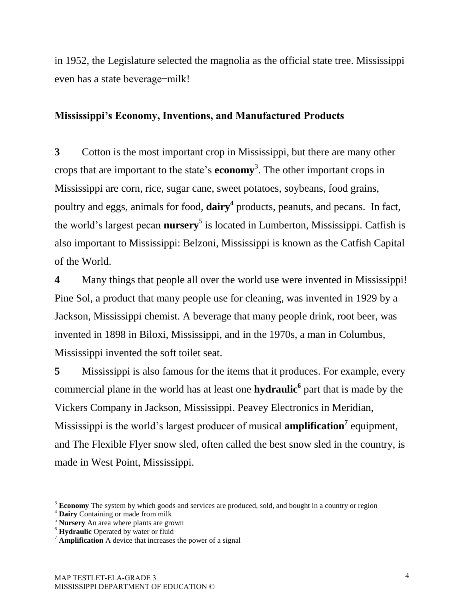in 1952, the Legislature selected the magnolia as the official state tree. Mississippi even has a state beverage—milk!

# **Mississippi's Economy, Inventions, and Manufactured Products**

**3** Cotton is the most important crop in Mississippi, but there are many other crops that are important to the state's **economy**<sup>3</sup> . The other important crops in Mississippi are corn, rice, sugar cane, sweet potatoes, soybeans, food grains, poultry and eggs, animals for food, **dairy<sup>4</sup>** products, peanuts, and pecans. In fact, the world's largest pecan **nursery**<sup>5</sup> is located in Lumberton, Mississippi. Catfish is also important to Mississippi: Belzoni, Mississippi is known as the Catfish Capital of the World.

**4** Many things that people all over the world use were invented in Mississippi! Pine Sol, a product that many people use for cleaning, was invented in 1929 by a Jackson, Mississippi chemist. A beverage that many people drink, root beer, was invented in 1898 in Biloxi, Mississippi, and in the 1970s, a man in Columbus, Mississippi invented the soft toilet seat.

**5** Mississippi is also famous for the items that it produces. For example, every commercial plane in the world has at least one **hydraulic<sup>6</sup>** part that is made by the Vickers Company in Jackson, Mississippi. Peavey Electronics in Meridian, Mississippi is the world's largest producer of musical **amplification**<sup>7</sup> equipment, and The Flexible Flyer snow sled, often called the best snow sled in the country, is made in West Point, Mississippi.

 $\overline{a}$ <sup>3</sup> **Economy** The system by which goods and services are produced, sold, and bought in a country or region

<sup>4</sup> **Dairy** Containing or made from milk

<sup>5</sup> **Nursery** An area where plants are grown

<sup>6</sup> **Hydraulic** Operated by water or fluid

<sup>7</sup> **Amplification** A device that increases the power of a signal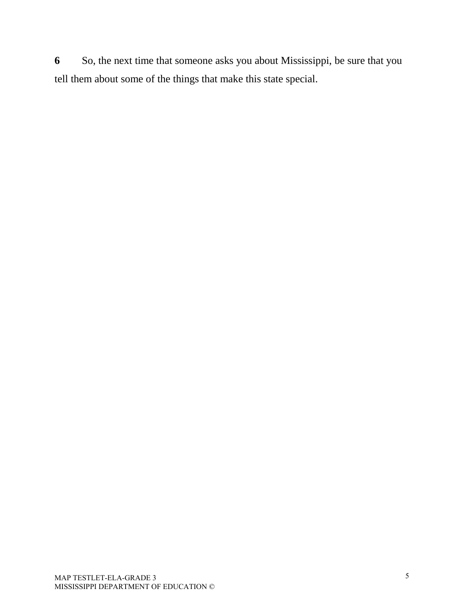**6** So, the next time that someone asks you about Mississippi, be sure that you tell them about some of the things that make this state special.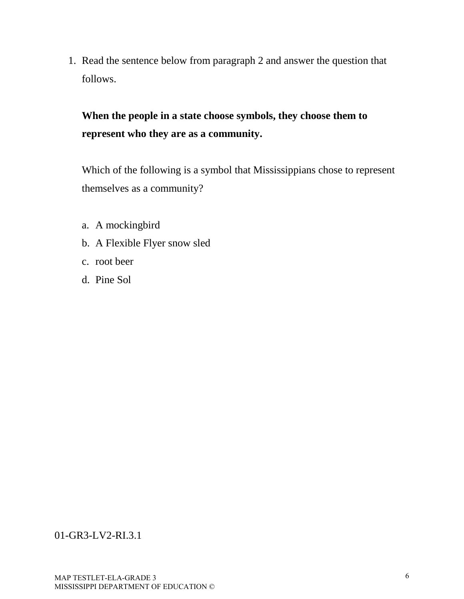1. Read the sentence below from paragraph 2 and answer the question that follows.

**When the people in a state choose symbols, they choose them to represent who they are as a community.** 

Which of the following is a symbol that Mississippians chose to represent themselves as a community?

- a. A mockingbird
- b. A Flexible Flyer snow sled
- c. root beer
- d. Pine Sol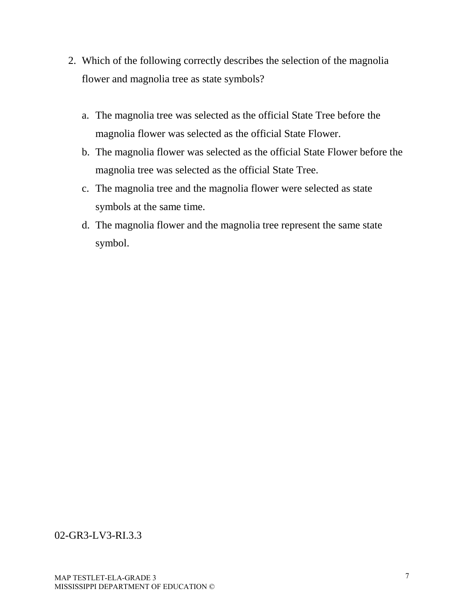- 2. Which of the following correctly describes the selection of the magnolia flower and magnolia tree as state symbols?
	- a. The magnolia tree was selected as the official State Tree before the magnolia flower was selected as the official State Flower.
	- b. The magnolia flower was selected as the official State Flower before the magnolia tree was selected as the official State Tree.
	- c. The magnolia tree and the magnolia flower were selected as state symbols at the same time.
	- d. The magnolia flower and the magnolia tree represent the same state symbol.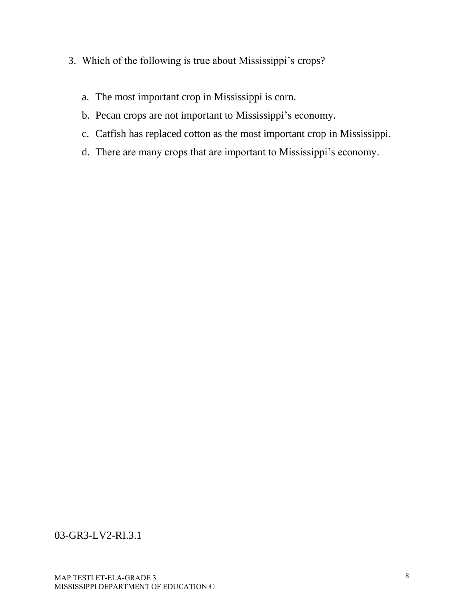- 3. Which of the following is true about Mississippi's crops?
	- a. The most important crop in Mississippi is corn.
	- b. Pecan crops are not important to Mississippi's economy.
	- c. Catfish has replaced cotton as the most important crop in Mississippi.
	- d. There are many crops that are important to Mississippi's economy.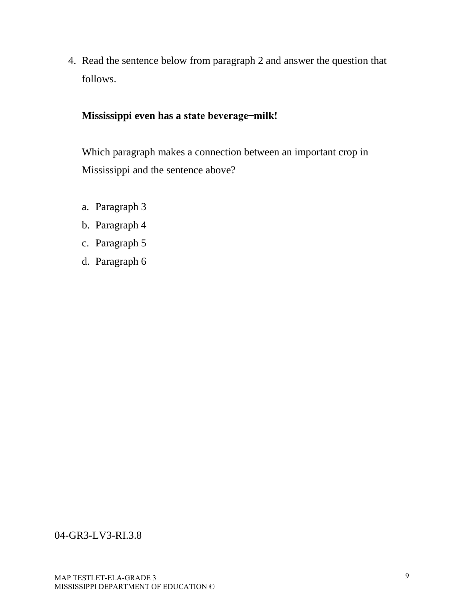4. Read the sentence below from paragraph 2 and answer the question that follows.

# **Mississippi even has a state beverage ̶ milk!**

Which paragraph makes a connection between an important crop in Mississippi and the sentence above?

- a. Paragraph 3
- b. Paragraph 4
- c. Paragraph 5
- d. Paragraph 6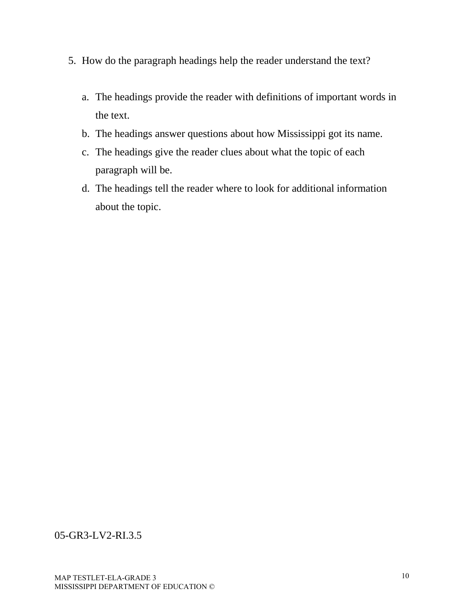- 5. How do the paragraph headings help the reader understand the text?
	- a. The headings provide the reader with definitions of important words in the text.
	- b. The headings answer questions about how Mississippi got its name.
	- c. The headings give the reader clues about what the topic of each paragraph will be.
	- d. The headings tell the reader where to look for additional information about the topic.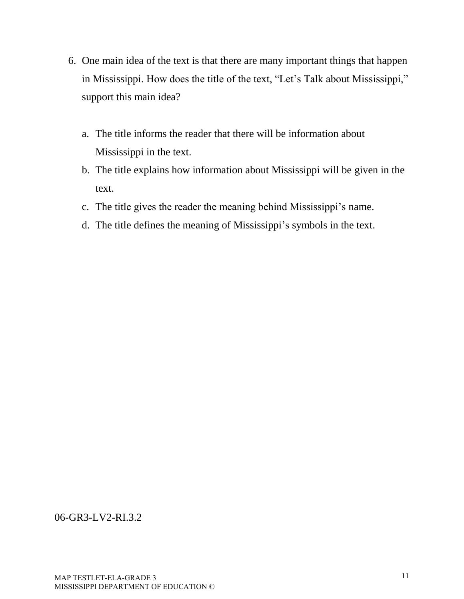- 6. One main idea of the text is that there are many important things that happen in Mississippi. How does the title of the text, "Let's Talk about Mississippi," support this main idea?
	- a. The title informs the reader that there will be information about Mississippi in the text.
	- b. The title explains how information about Mississippi will be given in the text.
	- c. The title gives the reader the meaning behind Mississippi's name.
	- d. The title defines the meaning of Mississippi's symbols in the text.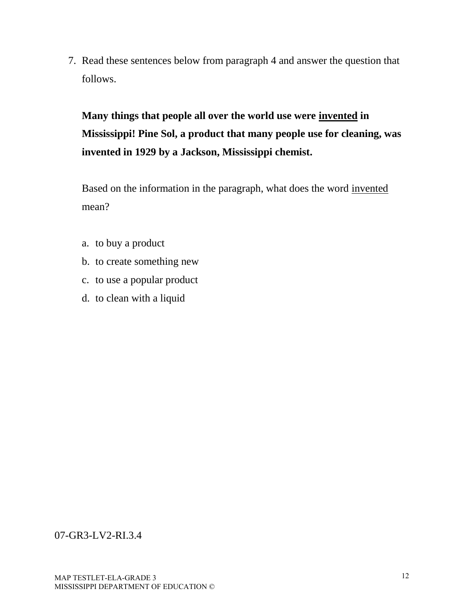7. Read these sentences below from paragraph 4 and answer the question that follows.

**Many things that people all over the world use were invented in Mississippi! Pine Sol, a product that many people use for cleaning, was invented in 1929 by a Jackson, Mississippi chemist.** 

Based on the information in the paragraph, what does the word invented mean?

- a. to buy a product
- b. to create something new
- c. to use a popular product
- d. to clean with a liquid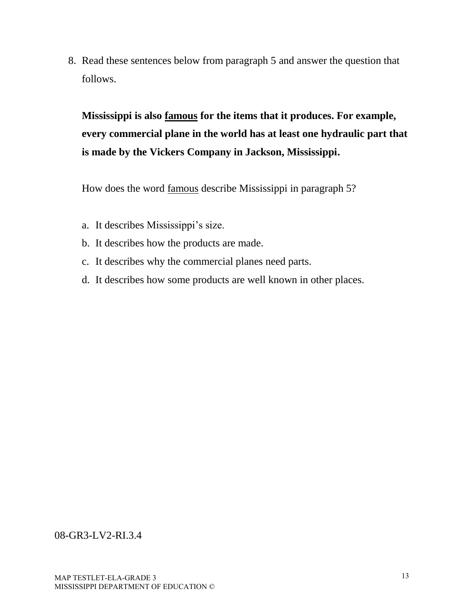8. Read these sentences below from paragraph 5 and answer the question that follows.

**Mississippi is also famous for the items that it produces. For example, every commercial plane in the world has at least one hydraulic part that is made by the Vickers Company in Jackson, Mississippi.** 

How does the word famous describe Mississippi in paragraph 5?

- a. It describes Mississippi's size.
- b. It describes how the products are made.
- c. It describes why the commercial planes need parts.
- d. It describes how some products are well known in other places.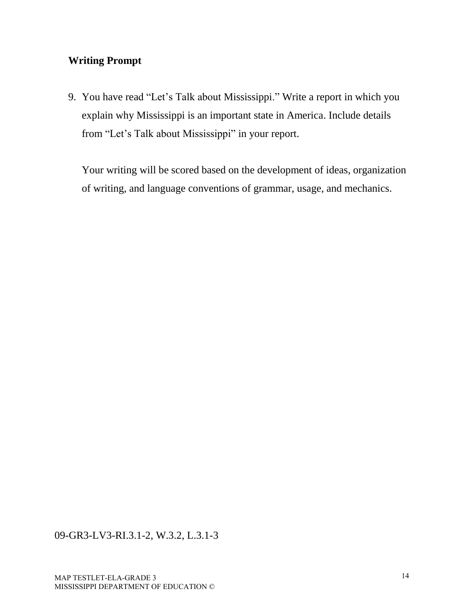# **Writing Prompt**

9. You have read "Let's Talk about Mississippi." Write a report in which you explain why Mississippi is an important state in America. Include details from "Let's Talk about Mississippi" in your report.

Your writing will be scored based on the development of ideas, organization of writing, and language conventions of grammar, usage, and mechanics.

### 09-GR3-LV3-RI.3.1-2, W.3.2, L.3.1-3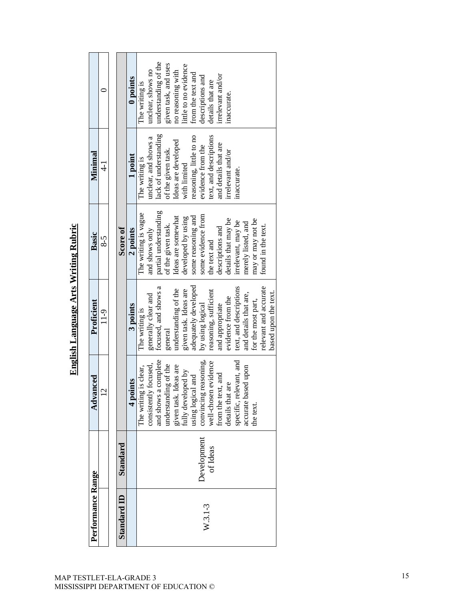| Performance Range  |             | Advanced                                    | Proficient             | Basic                 | Minimal                 |                       |
|--------------------|-------------|---------------------------------------------|------------------------|-----------------------|-------------------------|-----------------------|
|                    |             | $\overline{C}$                              | $11-9$                 | 8-5                   | $\frac{1}{4}$           |                       |
|                    |             |                                             |                        |                       |                         |                       |
| <b>Standard ID</b> | Standard    |                                             |                        | Score of              |                         |                       |
|                    |             | 4 points                                    | 3 points               | 2 points              | 1 point                 | 0 points              |
|                    |             | The writing is clear,                       | The writing is         | The writing is vague  | The writing is          | The writing is        |
|                    |             | consistently focused,                       | generally clear and    | and shows only        | unclear, and shows a    | unclear, shows no     |
|                    |             | and shows a complete                        | focused, and shows a   | partial understanding | lack of understanding   | understanding of the  |
|                    |             | understanding of the                        | general                | of the given task.    | of the given task.      | given task, and uses  |
|                    |             |                                             | understanding of the   | Ideas are somewhat    | Ideas are developed     | no reasoning with     |
|                    |             | given task. Ideas are<br>fully developed by | given task. Ideas are  | developed by using    | with limited            | little to no evidence |
|                    |             | using logical and                           | adequately developed   | some reasoning and    | reasoning, little to no | from the text and     |
| $W.3.1-3$          | Development | convincing reasoning,                       | by using logical       | some evidence from    | evidence from the       | descriptions and      |
|                    | of Ideas    | well-chosen evidence                        | reasoning, sufficient  | the text and          | text, and descriptions  | details that are      |
|                    |             | from the text, and                          | and appropriate        | descriptions and      | and details that are    | irrelevant and/or     |
|                    |             | details that are                            | evidence from the      | details that may be   | irrelevant and/or       | inaccurate.           |
|                    |             | specific, relevant, and                     | text, and descriptions | irrelevant, may be    | inaccurate.             |                       |
|                    |             | accurate based upon                         | and details that are,  | merely listed, and    |                         |                       |
|                    |             | the text.                                   | for the most part,     | may or may not be     |                         |                       |
|                    |             |                                             | relevant and accurate  | found in the text.    |                         |                       |
|                    |             |                                             | based upon the text.   |                       |                         |                       |

English Language Arts Writing Rubric **English Language Arts Writing Rubric**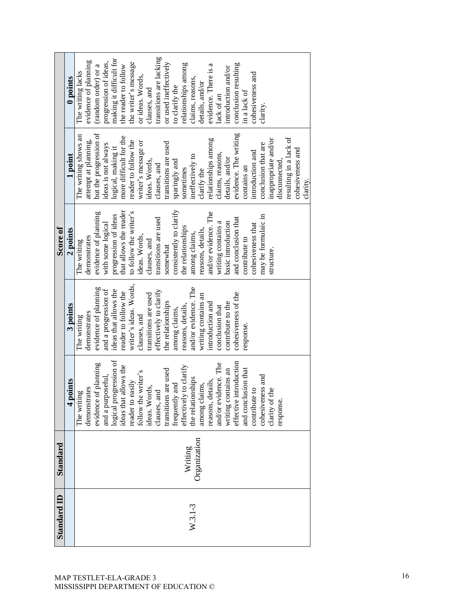|                    | 0 points | The writing lacks    | evidence of planning | (random order) or a    | progression of ideas, | making it difficult for                         | the reader to follow   | the writer's message   | or ideas. Words,    | clauses, and         | transitions are lacking | or used ineffectively | to clarify the          | relationships among    | claims, reasons,     | details, and/or     | evidence. There is a | lack of an           | introduction and/or | conclusion resulting   | in a lack of        | cohesiveness and  | clarity.            |                      |               |                        |                  |          |
|--------------------|----------|----------------------|----------------------|------------------------|-----------------------|-------------------------------------------------|------------------------|------------------------|---------------------|----------------------|-------------------------|-----------------------|-------------------------|------------------------|----------------------|---------------------|----------------------|----------------------|---------------------|------------------------|---------------------|-------------------|---------------------|----------------------|---------------|------------------------|------------------|----------|
|                    | 1 point  | The writing shows an | attempt at planning, | but the progression of | ideas is not always   | logical, making it                              | more difficult for the | reader to follow the   | writer's message or | ideas. Words,        | clauses, and            | transitions are used  | sparingly and           | sometimes              | ineffectively to     | clarify the         | relationships among  | claims, reasons,     | details, and/or     | evidence. The writing  | contains an         | introduction and  | conclusion that are | inappropriate and/or | disconnected, | resulting in a lack of | cohesiveness and | clarity. |
| Score of           | 2 points | The writing          | demonstrates         | evidence of planning   | with some logical     | progression of ideas                            | that allows the reader | to follow the writer's | ideas. Words,       | clauses, and         | transitions are used    | somewhat              | consistently to clarify | the relationships      | among claims,        | reasons, details,   | and/or evidence. The | writing contains a   | basic introduction  | and conclusion that    | contribute to       | cohesiveness that | may be formulaic in | structure.           |               |                        |                  |          |
|                    | 3 points | The writing          | demonstrates         | evidence of planning   | and a progression of  | ideas that allows the                           | reader to follow the   | writer's ideas. Words, | clauses, and        | transitions are used | effectively to clarify  | the relationships     | among claims,           | reasons, details,      | and/or evidence. The | writing contains an | introduction and     | conclusion that      | contribute to the   | cohesiveness of the    | response.           |                   |                     |                      |               |                        |                  |          |
|                    | 4 points | The writing          | demonstrates         | evidence of planning   | and a purposeful,     | logical progression of<br>ideas that allows the |                        | reader to easily       | follow the writer's | ideas. Words,        | clauses, and            | transitions are used  | frequently and          | effectively to clarify | the relationships    | among claims,       | reasons, details,    | and/or evidence. The | writing contains an | effective introduction | and conclusion that | contribute to     | cohesiveness and    | clarity of the       | response.     |                        |                  |          |
| Standard           |          |                      |                      |                        |                       |                                                 |                        |                        |                     |                      |                         |                       |                         | Writing                |                      | Organization        |                      |                      |                     |                        |                     |                   |                     |                      |               |                        |                  |          |
| <b>Standard ID</b> |          |                      |                      |                        |                       |                                                 |                        |                        |                     |                      |                         |                       |                         |                        | $W.3.1-3$            |                     |                      |                      |                     |                        |                     |                   |                     |                      |               |                        |                  |          |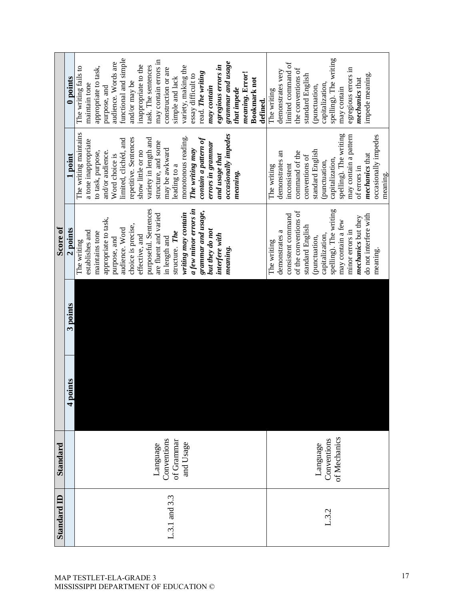| <b>Standard ID</b> | Standard     |          |          | Score of                  |                               |                        |
|--------------------|--------------|----------|----------|---------------------------|-------------------------------|------------------------|
|                    |              | 4 points | 3 points | 2 points                  | 1 point                       | 0 points               |
|                    |              |          |          | The writing               | The writing maintains         | The writing fails to   |
|                    |              |          |          | establishes and           | a tone inappropriate          | maintain tone          |
|                    |              |          |          | maintains tone            | to task, purpose,             | appropriate to task,   |
|                    |              |          |          | appropriate to task,      | and/or audience.              | purpose, and           |
|                    |              |          |          | purpose, and              | Word choice is                | audience. Words are    |
|                    |              |          |          | audience. Word            | limited, clichéd, and         | functional and simple  |
|                    |              |          |          | choice is precise,        | repetitive. Sentences         | and/or may be          |
|                    |              |          |          | effective, and            | show little or no             | inappropriate to the   |
|                    |              |          |          | purposeful. Sentences     | variety in length and         | task. The sentences    |
|                    | Language     |          |          | are fluent and varied     | structure, and some           | may contain errors in  |
|                    | Conventions  |          |          | in length and             | may be awkward                | construction or are    |
| L.3.1 and 3.3      | of Grammar   |          |          | structure. The            | leading to a                  | simple and lack        |
|                    | and Usage    |          |          | writing may contain       | monotonous reading.           | variety, making the    |
|                    |              |          |          | a few minor errors in     | The writing may               | essay difficult to     |
|                    |              |          |          | grammar and usage,        | $\emph{contain a pattern of}$ | read. The writing      |
|                    |              |          |          | but they do not           | errors in grammar             | may contain            |
|                    |              |          |          | interfere with            |                               | egregious errors in    |
|                    |              |          |          |                           | and usage that                |                        |
|                    |              |          |          | meaning.                  | occasionally impedes          | grammar and usage      |
|                    |              |          |          |                           | meaning.                      | that impede            |
|                    |              |          |          |                           |                               | meaning. Error!        |
|                    |              |          |          |                           |                               | <b>Bookmark</b> not    |
|                    |              |          |          |                           |                               | defined.               |
|                    |              |          |          | The writing               | The writing                   | The writing            |
|                    |              |          |          | demonstrates a            | demonstrates an               | demonstrates very      |
|                    |              |          |          | consistent command        | inconsistent                  | limited command of     |
|                    |              |          |          | of the conventions of     | command of the                | the conventions of     |
|                    |              |          |          | standard English          | conventions of                | standard English       |
|                    |              |          |          | (punctuation,             | standard English              | (punctuation,          |
|                    | Language     |          |          | capitalization,           | (punctuation,                 | capitalization,        |
| L.3.2              | Conventions  |          |          | spelling). The writing    | capitalization,               | spelling). The writing |
|                    | of Mechanics |          |          | may contain a few         | spelling). The writing        | may contain            |
|                    |              |          |          | minor errors in           | may contain a pattern         | egregious errors in    |
|                    |              |          |          | <i>mechanics</i> but they | of errors in                  | <b>mechanics</b> that  |
|                    |              |          |          | do not interfere with     | mechanics that                | impede meaning.        |
|                    |              |          |          | meaning.                  | occasionally impedes          |                        |
|                    |              |          |          |                           | meaning.                      |                        |